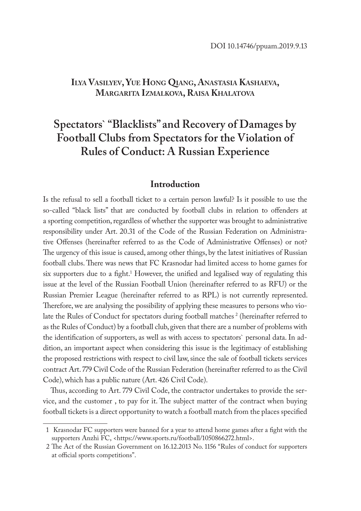# **Ilya Vasilyev, Yue Hong Qiang, Anastasia Kashaeva, Margarita Izmalkova, Raisa Khalatova**

# **Spectators` "Blacklists" and Recovery of Damages by Football Clubs from Spectators for the Violation of Rules of Conduct: A Russian Experience**

### **Introduction**

Is the refusal to sell a football ticket to a certain person lawful? Is it possible to use the so-called "black lists" that are conducted by football clubs in relation to offenders at a sporting competition, regardless of whether the supporter was brought to administrative responsibility under Art. 20.31 of the Code of the Russian Federation on Administrative Offenses (hereinafter referred to as the Code of Administrative Offenses) or not? The urgency of this issue is caused, among other things, by the latest initiatives of Russian football clubs. There was news that FC Krasnodar had limited access to home games for six supporters due to a fight.<sup>1</sup> However, the unified and legalised way of regulating this issue at the level of the Russian Football Union (hereinafter referred to as RFU) or the Russian Premier League (hereinafter referred to as RPL) is not currently represented. Therefore, we are analysing the possibility of applying these measures to persons who violate the Rules of Conduct for spectators during football matches<sup>2</sup> (hereinafter referred to as the Rules of Conduct) by a football club, given that there are a number of problems with the identification of supporters, as well as with access to spectators` personal data. In addition, an important aspect when considering this issue is the legitimacy of establishing the proposed restrictions with respect to civil law, since the sale of football tickets services contract Art. 779 Civil Code of the Russian Federation (hereinafter referred to as the Civil Code), which has a public nature (Art. 426 Civil Code).

Thus, according to Art. 779 Civil Code, the contractor undertakes to provide the service, and the customer , to pay for it. The subject matter of the contract when buying football tickets is a direct opportunity to watch a football match from the places specified

<sup>1</sup> Krasnodar FC supporters were banned for a year to attend home games after a fight with the supporters Anzhi FC, <https://www.sports.ru/football/1050866272.html>.

<sup>2</sup> The Act of the Russian Government on 16.12.2013 No. 1156 "Rules of conduct for supporters at official sports competitions".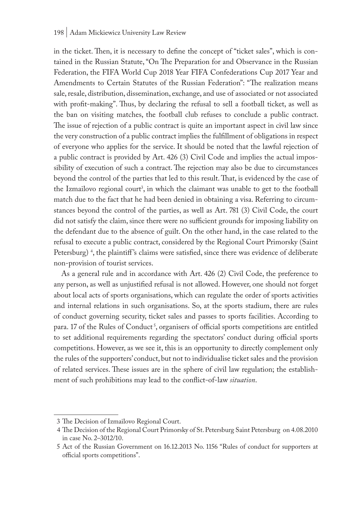#### 198 | Adam Mickiewicz University Law Review

in the ticket. Then, it is necessary to define the concept of "ticket sales", which is contained in the Russian Statute, "On The Preparation for and Observance in the Russian Federation, the FIFA World Cup 2018 Year FIFA Confederations Cup 2017 Year and Amendments to Certain Statutes of the Russian Federation": "The realization means sale, resale, distribution, dissemination, exchange, and use of associated or not associated with profit-making". Thus, by declaring the refusal to sell a football ticket, as well as the ban on visiting matches, the football club refuses to conclude a public contract. The issue of rejection of a public contract is quite an important aspect in civil law since the very construction of a public contract implies the fulfillment of obligations in respect of everyone who applies for the service. It should be noted that the lawful rejection of a public contract is provided by Art. 426 (3) Civil Code and implies the actual impossibility of execution of such a contract. The rejection may also be due to circumstances beyond the control of the parties that led to this result. That, is evidenced by the case of the Izmailovo regional court<sup>3</sup>, in which the claimant was unable to get to the football match due to the fact that he had been denied in obtaining a visa. Referring to circumstances beyond the control of the parties, as well as Art. 781 (3) Civil Code, the court did not satisfy the claim, since there were no sufficient grounds for imposing liability on the defendant due to the absence of guilt. On the other hand, in the case related to the refusal to execute a public contract, considered by the Regional Court Primorsky (Saint Petersburg)<sup>4</sup>, the plaintiff's claims were satisfied, since there was evidence of deliberate non-provision of tourist services.

As a general rule and in accordance with Art. 426 (2) Civil Code, the preference to any person, as well as unjustified refusal is not allowed. However, one should not forget about local acts of sports organisations, which can regulate the order of sports activities and internal relations in such organisations. So, at the sports stadium, there are rules of conduct governing security, ticket sales and passes to sports facilities. According to para. 17 of the Rules of Conduct<sup>5</sup>, organisers of official sports competitions are entitled to set additional requirements regarding the spectators' conduct during official sports competitions. However, as we see it, this is an opportunity to directly complement only the rules of the supporters' conduct, but not to individualise ticket sales and the provision of related services. These issues are in the sphere of civil law regulation; the establishment of such prohibitions may lead to the conflict-of-law *situation*.

<sup>3</sup> The Decision of Izmailovo Regional Court.

<sup>4</sup> The Decision of the Regional Court Primorsky of St. Petersburg Saint Petersburg on 4.08.2010 in case No. 2–3012/10.

<sup>5</sup> Act of the Russian Government on 16.12.2013 No. 1156 "Rules of conduct for supporters at official sports competitions".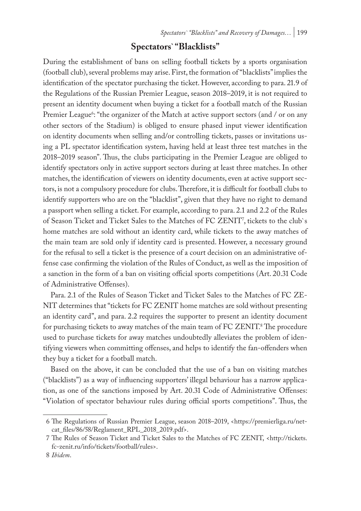# **Spectators` "Blacklists"**

During the establishment of bans on selling football tickets by a sports organisation (football club), several problems may arise. First, the formation of "blacklists" implies the identification of the spectator purchasing the ticket. However, according to para. 21.9 of the Regulations of the Russian Premier League, season 2018–2019, it is not required to present an identity document when buying a ticket for a football match of the Russian Premier League<sup>6</sup>: "the organizer of the Match at active support sectors (and / or on any other sectors of the Stadium) is obliged to ensure phased input viewer identification on identity documents when selling and/or controlling tickets, passes or invitations using a PL spectator identification system, having held at least three test matches in the 2018–2019 season". Thus, the clubs participating in the Premier League are obliged to identify spectators only in active support sectors during at least three matches. In other matches, the identification of viewers on identity documents, even at active support sectors, is not a compulsory procedure for clubs. Therefore, it is difficult for football clubs to identify supporters who are on the "blacklist", given that they have no right to demand a passport when selling a ticket. For example, according to para. 2.1 and 2.2 of the Rules of Season Ticket and Ticket Sales to the Matches of FC ZENIT<sup>7</sup>, tickets to the club`s home matches are sold without an identity card, while tickets to the away matches of the main team are sold only if identity card is presented. However, a necessary ground for the refusal to sell a ticket is the presence of a court decision on an administrative offense case confirming the violation of the Rules of Conduct, as well as the imposition of a sanction in the form of a ban on visiting official sports competitions (Art. 20.31 Code of Administrative Offenses).

Para. 2.1 of the Rules of Season Ticket and Ticket Sales to the Matches of FC ZE-NIT determines that "tickets for FC ZENIT home matches are sold without presenting an identity card", and para. 2.2 requires the supporter to present an identity document for purchasing tickets to away matches of the main team of FC ZENIT.<sup>8</sup> The procedure used to purchase tickets for away matches undoubtedly alleviates the problem of identifying viewers when committing offenses, and helps to identify the fan-offenders when they buy a ticket for a football match.

Based on the above, it can be concluded that the use of a ban on visiting matches ("blacklists") as a way of influencing supporters' illegal behaviour has a narrow application, as one of the sanctions imposed by Art. 20.31 Code of Administrative Offenses: "Violation of spectator behaviour rules during official sports competitions". Thus, the

<sup>6</sup> The Regulations of Russian Premier League, season 2018–2019, <https://premierliga.ru/netcat\_files/86/58/Reglament\_RPL\_2018\_2019.pdf>.

<sup>7</sup> The Rules of Season Ticket and Ticket Sales to the Matches of FC ZENIT, <http://tickets. fc-zenit.ru/info/tickets/football/rules>.

<sup>8</sup> *Ibidem*.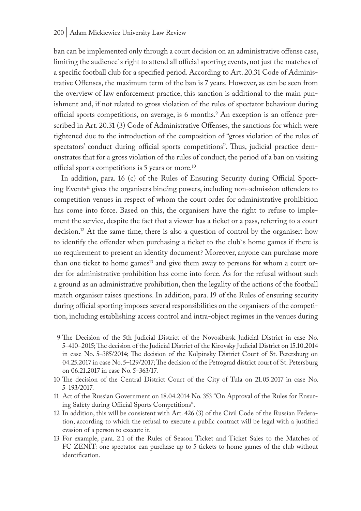ban can be implemented only through a court decision on an administrative offense case, limiting the audience`s right to attend all official sporting events, not just the matches of a specific football club for a specified period. According to Art. 20.31 Code of Administrative Offenses, the maximum term of the ban is 7 years. However, as can be seen from the overview of law enforcement practice, this sanction is additional to the main punishment and, if not related to gross violation of the rules of spectator behaviour during official sports competitions, on average, is 6 months.<sup>9</sup> An exception is an offence prescribed in Art. 20.31 (3) Code of Administrative Offenses, the sanctions for which were tightened due to the introduction of the composition of "gross violation of the rules of spectators' conduct during official sports competitions". Thus, judicial practice demonstrates that for a gross violation of the rules of conduct, the period of a ban on visiting official sports competitions is 5 years or more.10

In addition, para. 16 (c) of the Rules of Ensuring Security during Official Sporting Events<sup>11</sup> gives the organisers binding powers, including non-admission offenders to competition venues in respect of whom the court order for administrative prohibition has come into force. Based on this, the organisers have the right to refuse to implement the service, despite the fact that a viewer has a ticket or a pass, referring to a court decision.<sup>12</sup> At the same time, there is also a question of control by the organiser: how to identify the offender when purchasing a ticket to the club`s home games if there is no requirement to present an identity document? Moreover, anyone can purchase more than one ticket to home games<sup>13</sup> and give them away to persons for whom a court order for administrative prohibition has come into force. As for the refusal without such a ground as an administrative prohibition, then the legality of the actions of the football match organiser raises questions. In addition, para. 19 of the Rules of ensuring security during official sporting imposes several responsibilities on the organisers of the competition, including establishing access control and intra-object regimes in the venues during

<sup>9</sup> The Decision of the 5th Judicial District of the Novosibirsk Judicial District in case No. 5–410–2015; The decision of the Judicial District of the Kirovsky Judicial District on 15.10.2014 in case No. 5–385/2014; The decision of the Kolpinsky District Court of St. Petersburg on 04.25.2017 in case No. 5–129/2017; The decision of the Petrograd district court of St. Petersburg on 06.21.2017 in case No. 5–363/17.

<sup>10</sup> The decision of the Central District Court of the City of Tula on 21.05.2017 in case No. 5–193/2017.

<sup>11</sup> Act of the Russian Government on 18.04.2014 No. 353 "On Approval of the Rules for Ensuring Safety during Official Sports Competitions".

<sup>12</sup> In addition, this will be consistent with Art. 426 (3) of the Civil Code of the Russian Federation, according to which the refusal to execute a public contract will be legal with a justified evasion of a person to execute it.

<sup>13</sup> For example, para. 2.1 of the Rules of Season Ticket and Ticket Sales to the Matches of FC ZENIT: one spectator can purchase up to 5 tickets to home games of the club without identification.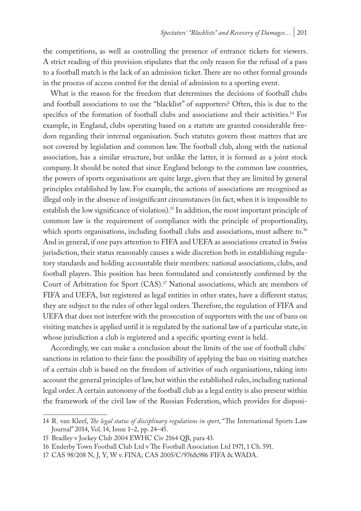the competitions, as well as controlling the presence of entrance tickets for viewers. A strict reading of this provision stipulates that the only reason for the refusal of a pass to a football match is the lack of an admission ticket. There are no other formal grounds in the process of access control for the denial of admission to a sporting event.

What is the reason for the freedom that determines the decisions of football clubs and football associations to use the "blacklist" of supporters? Often, this is due to the specifics of the formation of football clubs and associations and their activities.<sup>14</sup> For example, in England, clubs operating based on a statute are granted considerable freedom regarding their internal organisation. Such statutes govern those matters that are not covered by legislation and common law. The football club, along with the national association, has a similar structure, but unlike the latter, it is formed as a joint stock company. It should be noted that since England belongs to the common law countries, the powers of sports organisations are quite large, given that they are limited by general principles established by law. For example, the actions of associations are recognised as illegal only in the absence of insignificant circumstances (in fact, when it is impossible to establish the low significance of violation).<sup>15</sup> In addition, the most important principle of common law is the requirement of compliance with the principle of proportionality, which sports organisations, including football clubs and associations, must adhere to.<sup>16</sup> And in general, if one pays attention to FIFA and UEFA as associations created in Swiss jurisdiction, their status reasonably causes a wide discretion both in establishing regulatory standards and holding accountable their members: national associations, clubs, and football players. This position has been formulated and consistently confirmed by the Court of Arbitration for Sport  $(CAS)^{17}$  National associations, which are members of FIFA and UEFA, but registered as legal entities in other states, have a different status; they are subject to the rules of other legal orders. Therefore, the regulation of FIFA and UEFA that does not interfere with the prosecution of supporters with the use of bans on visiting matches is applied until it is regulated by the national law of a particular state, in whose jurisdiction a club is registered and a specific sporting event is held.

Accordingly, we can make a conclusion about the limits of the use of football clubs` sanctions in relation to their fans: the possibility of applying the ban on visiting matches of a certain club is based on the freedom of activities of such organisations, taking into account the general principles of law, but within the established rules, including national legal order. A certain autonomy of the football club as a legal entity is also present within the framework of the civil law of the Russian Federation, which provides for disposi-

<sup>14</sup> R. van Kleef, *The legal status of disciplinary regulations in sport*, "The International Sports Law Journal" 2014, Vol. 14, Issue 1–2, pp. 24–45.

<sup>15</sup> Bradley v Jockey Club 2004 EWHC Civ 2164 QB, para 43.

<sup>16</sup> Enderby Town Football Club Ltd v The Football Association Ltd 1971, 1 Ch. 591.

<sup>17</sup> CAS 98/208 N, J, Y, W v. FINA; CAS 2005/C/976&986 FIFA & WADA.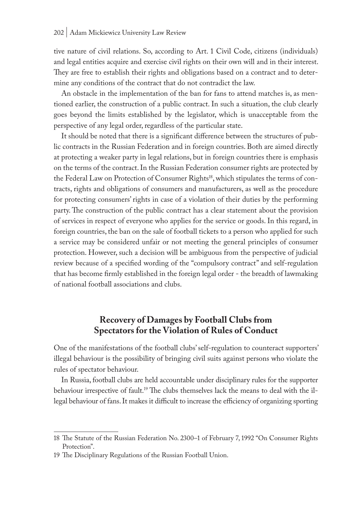tive nature of civil relations. So, according to Art. 1 Civil Code, citizens (individuals) and legal entities acquire and exercise civil rights on their own will and in their interest. They are free to establish their rights and obligations based on a contract and to determine any conditions of the contract that do not contradict the law.

An obstacle in the implementation of the ban for fans to attend matches is, as mentioned earlier, the construction of a public contract. In such a situation, the club clearly goes beyond the limits established by the legislator, which is unacceptable from the perspective of any legal order, regardless of the particular state.

It should be noted that there is a significant difference between the structures of public contracts in the Russian Federation and in foreign countries. Both are aimed directly at protecting a weaker party in legal relations, but in foreign countries there is emphasis on the terms of the contract. In the Russian Federation consumer rights are protected by the Federal Law on Protection of Consumer Rights<sup>18</sup>, which stipulates the terms of contracts, rights and obligations of consumers and manufacturers, as well as the procedure for protecting consumers' rights in case of a violation of their duties by the performing party. The construction of the public contract has a clear statement about the provision of services in respect of everyone who applies for the service or goods. In this regard, in foreign countries, the ban on the sale of football tickets to a person who applied for such a service may be considered unfair or not meeting the general principles of consumer protection. However, such a decision will be ambiguous from the perspective of judicial review because of a specified wording of the "compulsory contract" and self-regulation that has become firmly established in the foreign legal order - the breadth of lawmaking of national football associations and clubs.

## **Recovery of Damages by Football Clubs from Spectators for the Violation of Rules of Conduct**

One of the manifestations of the football clubs' self-regulation to counteract supporters' illegal behaviour is the possibility of bringing civil suits against persons who violate the rules of spectator behaviour.

In Russia, football clubs are held accountable under disciplinary rules for the supporter behaviour irrespective of fault.<sup>19</sup> The clubs themselves lack the means to deal with the illegal behaviour of fans. It makes it difficult to increase the efficiency of organizing sporting

<sup>18</sup> The Statute of the Russian Federation No. 2300–1 of February 7, 1992 "On Consumer Rights Protection".

<sup>19</sup> The Disciplinary Regulations of the Russian Football Union.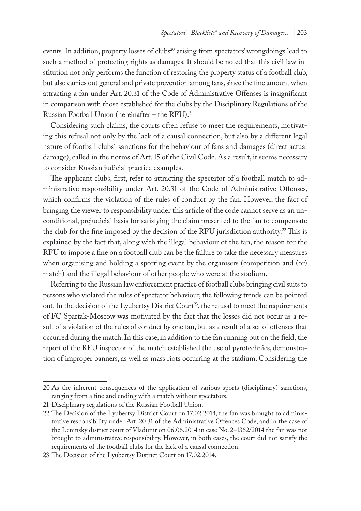events. In addition, property losses of clubs<sup>20</sup> arising from spectators' wrongdoings lead to such a method of protecting rights as damages. It should be noted that this civil law institution not only performs the function of restoring the property status of a football club, but also carries out general and private prevention among fans, since the fine amount when attracting a fan under Art. 20.31 of the Code of Administrative Offenses is insignificant in comparison with those established for the clubs by the Disciplinary Regulations of the Russian Football Union (hereinafter – the RFU).<sup>21</sup>

Considering such claims, the courts often refuse to meet the requirements, motivating this refusal not only by the lack of a causal connection, but also by a different legal nature of football clubs` sanctions for the behaviour of fans and damages (direct actual damage), called in the norms of Art. 15 of the Civil Code. As a result, it seems necessary to consider Russian judicial practice examples.

The applicant clubs, first, refer to attracting the spectator of a football match to administrative responsibility under Art. 20.31 of the Code of Administrative Offenses, which confirms the violation of the rules of conduct by the fan. However, the fact of bringing the viewer to responsibility under this article of the code cannot serve as an unconditional, prejudicial basis for satisfying the claim presented to the fan to compensate the club for the fine imposed by the decision of the RFU jurisdiction authority.<sup>22</sup> This is explained by the fact that, along with the illegal behaviour of the fan, the reason for the RFU to impose a fine on a football club can be the failure to take the necessary measures when organising and holding a sporting event by the organisers (competition and (or) match) and the illegal behaviour of other people who were at the stadium.

Referring to the Russian law enforcement practice of football clubs bringing civil suits to persons who violated the rules of spectator behaviour, the following trends can be pointed out. In the decision of the Lyubertsy District Court<sup>23</sup>, the refusal to meet the requirements of FC Spartak-Moscow was motivated by the fact that the losses did not occur as a result of a violation of the rules of conduct by one fan, but as a result of a set of offenses that occurred during the match. In this case, in addition to the fan running out on the field, the report of the RFU inspector of the match established the use of pyrotechnics, demonstration of improper banners, as well as mass riots occurring at the stadium. Considering the

<sup>20</sup> As the inherent consequences of the application of various sports (disciplinary) sanctions, ranging from a fine and ending with a match without spectators.

<sup>21</sup> Disciplinary regulations of the Russian Football Union.

<sup>22</sup> The Decision of the Lyubertsy District Court on 17.02.2014, the fan was brought to administrative responsibility under Art. 20.31 of the Administrative Offences Code, and in the case of the Leninsky district court of Vladimir on 06.06.2014 in case No. 2–1362/2014 the fan was not brought to administrative responsibility. However, in both cases, the court did not satisfy the requirements of the football clubs for the lack of a causal connection.

<sup>23</sup> The Decision of the Lyubertsy District Court on 17.02.2014.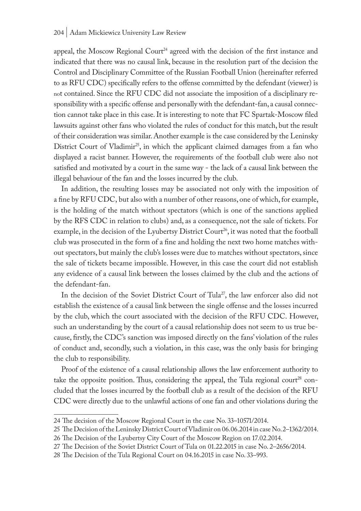appeal, the Moscow Regional Court<sup>24</sup> agreed with the decision of the first instance and indicated that there was no causal link, because in the resolution part of the decision the Control and Disciplinary Committee of the Russian Football Union (hereinafter referred to as RFU CDC) specifically refers to the offense committed by the defendant (viewer) is not contained. Since the RFU CDC did not associate the imposition of a disciplinary responsibility with a specific offense and personally with the defendant-fan, a causal connection cannot take place in this case. It is interesting to note that FC Spartak-Moscow filed lawsuits against other fans who violated the rules of conduct for this match, but the result of their consideration was similar. Another example is the case considered by the Leninsky District Court of Vladimir<sup>25</sup>, in which the applicant claimed damages from a fan who displayed a racist banner. However, the requirements of the football club were also not satisfied and motivated by a court in the same way - the lack of a causal link between the illegal behaviour of the fan and the losses incurred by the club.

In addition, the resulting losses may be associated not only with the imposition of a fine by RFU CDC, but also with a number of other reasons, one of which, for example, is the holding of the match without spectators (which is one of the sanctions applied by the RFS CDC in relation to clubs) and, as a consequence, not the sale of tickets. For example, in the decision of the Lyubertsy District Court<sup>26</sup>, it was noted that the football club was prosecuted in the form of a fine and holding the next two home matches without spectators, but mainly the club's losses were due to matches without spectators, since the sale of tickets became impossible. However, in this case the court did not establish any evidence of a causal link between the losses claimed by the club and the actions of the defendant-fan.

In the decision of the Soviet District Court of Tula<sup>27</sup>, the law enforcer also did not establish the existence of a causal link between the single offense and the losses incurred by the club, which the court associated with the decision of the RFU CDC. However, such an understanding by the court of a causal relationship does not seem to us true because, firstly, the CDC's sanction was imposed directly on the fans' violation of the rules of conduct and, secondly, such a violation, in this case, was the only basis for bringing the club to responsibility.

Proof of the existence of a causal relationship allows the law enforcement authority to take the opposite position. Thus, considering the appeal, the Tula regional court<sup>28</sup> concluded that the losses incurred by the football club as a result of the decision of the RFU CDC were directly due to the unlawful actions of one fan and other violations during the

<sup>24</sup> The decision of the Moscow Regional Court in the case No. 33–10571/2014.

<sup>25</sup> The Decision of the Leninsky District Court of Vladimir on 06.06.2014 in case No. 2–1362/2014.

<sup>26</sup> The Decision of the Lyubertsy City Court of the Moscow Region on 17.02.2014.

<sup>27</sup> The Decision of the Soviet District Court of Tula on 01.22.2015 in case No. 2–2656/2014.

<sup>28</sup> The Decision of the Tula Regional Court on 04.16.2015 in case No. 33–993.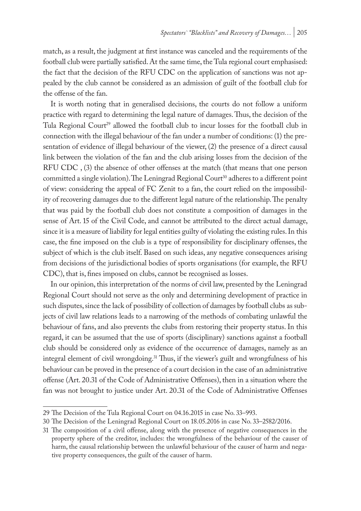match, as a result, the judgment at first instance was canceled and the requirements of the football club were partially satisfied. At the same time, the Tula regional court emphasised: the fact that the decision of the RFU CDC on the application of sanctions was not appealed by the club cannot be considered as an admission of guilt of the football club for the offense of the fan.

It is worth noting that in generalised decisions, the courts do not follow a uniform practice with regard to determining the legal nature of damages. Thus, the decision of the Tula Regional Court<sup>29</sup> allowed the football club to incur losses for the football club in connection with the illegal behaviour of the fan under a number of conditions: (1) the presentation of evidence of illegal behaviour of the viewer, (2) the presence of a direct causal link between the violation of the fan and the club arising losses from the decision of the RFU CDC , (3) the absence of other offenses at the match (that means that one person committed a single violation). The Leningrad Regional Court<sup>30</sup> adheres to a different point of view: considering the appeal of FC Zenit to a fan, the court relied on the impossibility of recovering damages due to the different legal nature of the relationship. The penalty that was paid by the football club does not constitute a composition of damages in the sense of Art. 15 of the Civil Code, and cannot be attributed to the direct actual damage, since it is a measure of liability for legal entities guilty of violating the existing rules. In this case, the fine imposed on the club is a type of responsibility for disciplinary offenses, the subject of which is the club itself. Based on such ideas, any negative consequences arising from decisions of the jurisdictional bodies of sports organisations (for example, the RFU CDC), that is, fines imposed on clubs, cannot be recognised as losses.

In our opinion, this interpretation of the norms of civil law, presented by the Leningrad Regional Court should not serve as the only and determining development of practice in such disputes, since the lack of possibility of collection of damages by football clubs as subjects of civil law relations leads to a narrowing of the methods of combating unlawful the behaviour of fans, and also prevents the clubs from restoring their property status. In this regard, it can be assumed that the use of sports (disciplinary) sanctions against a football club should be considered only as evidence of the occurrence of damages, namely as an integral element of civil wrongdoing.31 Thus, if the viewer's guilt and wrongfulness of his behaviour can be proved in the presence of a court decision in the case of an administrative offense (Art. 20.31 of the Code of Administrative Offenses), then in a situation where the fan was not brought to justice under Art. 20.31 of the Code of Administrative Offenses

<sup>29</sup> The Decision of the Tula Regional Court on 04.16.2015 in case No. 33–993.

<sup>30</sup> The Decision of the Leningrad Regional Court on 18.05.2016 in case No. 33–2582/2016.

<sup>31</sup> The composition of a civil offense, along with the presence of negative consequences in the property sphere of the creditor, includes: the wrongfulness of the behaviour of the causer of harm, the causal relationship between the unlawful behaviour of the causer of harm and negative property consequences, the guilt of the causer of harm.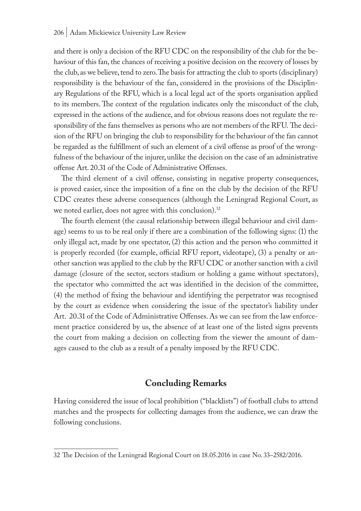and there is only a decision of the RFU CDC on the responsibility of the club for the behaviour of this fan, the chances of receiving a positive decision on the recovery of losses by the club, as we believe, tend to zero. The basis for attracting the club to sports (disciplinary) responsibility is the behaviour of the fan, considered in the provisions of the Disciplinary Regulations of the RFU, which is a local legal act of the sports organisation applied to its members. The context of the regulation indicates only the misconduct of the club, expressed in the actions of the audience, and for obvious reasons does not regulate the responsibility of the fans themselves as persons who are not members of the RFU. The decision of the RFU on bringing the club to responsibility for the behaviour of the fan cannot be regarded as the fulfillment of such an element of a civil offense as proof of the wrongfulness of the behaviour of the injurer, unlike the decision on the case of an administrative offense Art. 20.31 of the Code of Administrative Offenses.

The third element of a civil offense, consisting in negative property consequences, is proved easier, since the imposition of a fine on the club by the decision of the RFU CDC creates these adverse consequences (although the Leningrad Regional Court, as we noted earlier, does not agree with this conclusion).<sup>32</sup>

The fourth element (the causal relationship between illegal behaviour and civil damage) seems to us to be real only if there are a combination of the following signs: (1) the only illegal act, made by one spectator, (2) this action and the person who committed it is properly recorded (for example, official RFU report, videotape), (3) a penalty or another sanction was applied to the club by the RFU CDC or another sanction with a civil damage (closure of the sector, sectors stadium or holding a game without spectators), the spectator who committed the act was identified in the decision of the committee, (4) the method of fixing the behaviour and identifying the perpetrator was recognised by the court as evidence when considering the issue of the spectator's liability under Art. 20.31 of the Code of Administrative Offenses. As we can see from the law enforcement practice considered by us, the absence of at least one of the listed signs prevents the court from making a decision on collecting from the viewer the amount of damages caused to the club as a result of a penalty imposed by the RFU CDC.

## **Concluding Remarks**

Having considered the issue of local prohibition ("blacklists") of football clubs to attend matches and the prospects for collecting damages from the audience, we can draw the following conclusions.

<sup>32</sup> The Decision of the Leningrad Regional Court on 18.05.2016 in case No. 33–2582/2016.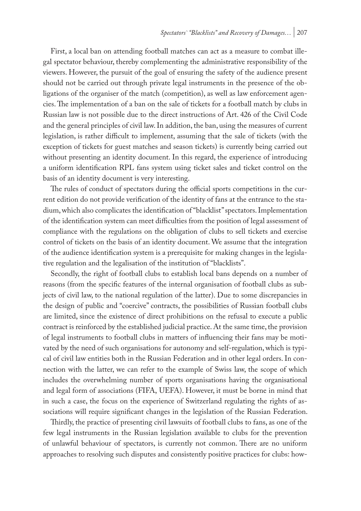First, a local ban on attending football matches can act as a measure to combat illegal spectator behaviour, thereby complementing the administrative responsibility of the viewers. However, the pursuit of the goal of ensuring the safety of the audience present should not be carried out through private legal instruments in the presence of the obligations of the organiser of the match (competition), as well as law enforcement agencies. The implementation of a ban on the sale of tickets for a football match by clubs in Russian law is not possible due to the direct instructions of Art. 426 of the Civil Code and the general principles of civil law. In addition, the ban, using the measures of current legislation, is rather difficult to implement, assuming that the sale of tickets (with the exception of tickets for guest matches and season tickets) is currently being carried out without presenting an identity document. In this regard, the experience of introducing a uniform identification RPL fans system using ticket sales and ticket control on the basis of an identity document is very interesting.

The rules of conduct of spectators during the official sports competitions in the current edition do not provide verification of the identity of fans at the entrance to the stadium, which also complicates the identification of "blacklist" spectators. Implementation of the identification system can meet difficulties from the position of legal assessment of compliance with the regulations on the obligation of clubs to sell tickets and exercise control of tickets on the basis of an identity document. We assume that the integration of the audience identification system is a prerequisite for making changes in the legislative regulation and the legalisation of the institution of "blacklists".

Secondly, the right of football clubs to establish local bans depends on a number of reasons (from the specific features of the internal organisation of football clubs as subjects of civil law, to the national regulation of the latter). Due to some discrepancies in the design of public and "coercive" contracts, the possibilities of Russian football clubs are limited, since the existence of direct prohibitions on the refusal to execute a public contract is reinforced by the established judicial practice. At the same time, the provision of legal instruments to football clubs in matters of influencing their fans may be motivated by the need of such organisations for autonomy and self-regulation, which is typical of civil law entities both in the Russian Federation and in other legal orders. In connection with the latter, we can refer to the example of Swiss law, the scope of which includes the overwhelming number of sports organisations having the organisational and legal form of associations (FIFA, UEFA). However, it must be borne in mind that in such a case, the focus on the experience of Switzerland regulating the rights of associations will require significant changes in the legislation of the Russian Federation.

Thirdly, the practice of presenting civil lawsuits of football clubs to fans, as one of the few legal instruments in the Russian legislation available to clubs for the prevention of unlawful behaviour of spectators, is currently not common. There are no uniform approaches to resolving such disputes and consistently positive practices for clubs: how-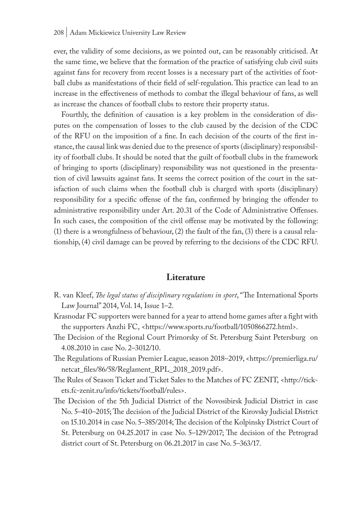#### 208 | Adam Mickiewicz University Law Review

ever, the validity of some decisions, as we pointed out, can be reasonably criticised. At the same time, we believe that the formation of the practice of satisfying club civil suits against fans for recovery from recent losses is a necessary part of the activities of football clubs as manifestations of their field of self-regulation. This practice can lead to an increase in the effectiveness of methods to combat the illegal behaviour of fans, as well as increase the chances of football clubs to restore their property status.

Fourthly, the definition of causation is a key problem in the consideration of disputes on the compensation of losses to the club caused by the decision of the CDC of the RFU on the imposition of a fine. In each decision of the courts of the first instance, the causal link was denied due to the presence of sports (disciplinary) responsibility of football clubs. It should be noted that the guilt of football clubs in the framework of bringing to sports (disciplinary) responsibility was not questioned in the presentation of civil lawsuits against fans. It seems the correct position of the court in the satisfaction of such claims when the football club is charged with sports (disciplinary) responsibility for a specific offense of the fan, confirmed by bringing the offender to administrative responsibility under Art. 20.31 of the Code of Administrative Offenses. In such cases, the composition of the civil offense may be motivated by the following: (1) there is a wrongfulness of behaviour, (2) the fault of the fan, (3) there is a causal relationship, (4) civil damage can be proved by referring to the decisions of the CDC RFU.

#### **Literature**

- R. van Kleef, *The legal status of disciplinary regulations in sport*, "The International Sports Law Journal" 2014, Vol. 14, Issue 1–2.
- Krasnodar FC supporters were banned for a year to attend home games after a fight with the supporters Anzhi FC, <https://www.sports.ru/football/1050866272.html>.
- The Decision of the Regional Court Primorsky of St. Petersburg Saint Petersburg on 4.08.2010 in case No. 2–3012/10.
- The Regulations of Russian Premier League, season 2018–2019, <https://premierliga.ru/ netcat\_files/86/58/Reglament\_RPL\_2018\_2019.pdf>.
- The Rules of Season Ticket and Ticket Sales to the Matches of FC ZENIT, <http://tickets.fc-zenit.ru/info/tickets/football/rules>.
- The Decision of the 5th Judicial District of the Novosibirsk Judicial District in case No. 5–410–2015; The decision of the Judicial District of the Kirovsky Judicial District on 15.10.2014 in case No. 5–385/2014; The decision of the Kolpinsky District Court of St. Petersburg on 04.25.2017 in case No. 5–129/2017; The decision of the Petrograd district court of St. Petersburg on 06.21.2017 in case No. 5–363/17.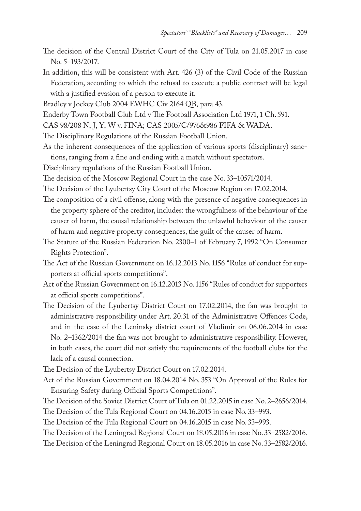- The decision of the Central District Court of the City of Tula on 21.05.2017 in case No. 5–193/2017.
- In addition, this will be consistent with Art. 426 (3) of the Civil Code of the Russian Federation, according to which the refusal to execute a public contract will be legal with a justified evasion of a person to execute it.

Bradley v Jockey Club 2004 EWHC Civ 2164 QB, para 43.

Enderby Town Football Club Ltd v The Football Association Ltd 1971, 1 Ch. 591.

CAS 98/208 N, J, Y, W v. FINA; CAS 2005/C/976&986 FIFA & WADA.

The Disciplinary Regulations of the Russian Football Union.

As the inherent consequences of the application of various sports (disciplinary) sanctions, ranging from a fine and ending with a match without spectators.

Disciplinary regulations of the Russian Football Union.

The decision of the Moscow Regional Court in the case No. 33–10571/2014.

The Decision of the Lyubertsy City Court of the Moscow Region on 17.02.2014.

- The composition of a civil offense, along with the presence of negative consequences in the property sphere of the creditor, includes: the wrongfulness of the behaviour of the causer of harm, the causal relationship between the unlawful behaviour of the causer of harm and negative property consequences, the guilt of the causer of harm.
- The Statute of the Russian Federation No. 2300–1 of February 7, 1992 "On Consumer Rights Protection".

The Act of the Russian Government on 16.12.2013 No. 1156 "Rules of conduct for supporters at official sports competitions".

- Act of the Russian Government on 16.12.2013 No. 1156 "Rules of conduct for supporters at official sports competitions".
- The Decision of the Lyubertsy District Court on 17.02.2014, the fan was brought to administrative responsibility under Art. 20.31 of the Administrative Offences Code, and in the case of the Leninsky district court of Vladimir on 06.06.2014 in case No. 2–1362/2014 the fan was not brought to administrative responsibility. However, in both cases, the court did not satisfy the requirements of the football clubs for the lack of a causal connection.

The Decision of the Lyubertsy District Court on 17.02.2014.

Act of the Russian Government on 18.04.2014 No. 353 "On Approval of the Rules for Ensuring Safety during Official Sports Competitions".

The Decision of the Soviet District Court of Tula on 01.22.2015 in case No. 2–2656/2014. The Decision of the Tula Regional Court on 04.16.2015 in case No. 33–993.

The Decision of the Tula Regional Court on 04.16.2015 in case No. 33–993.

The Decision of the Leningrad Regional Court on 18.05.2016 in case No. 33–2582/2016.

The Decision of the Leningrad Regional Court on 18.05.2016 in case No. 33–2582/2016.